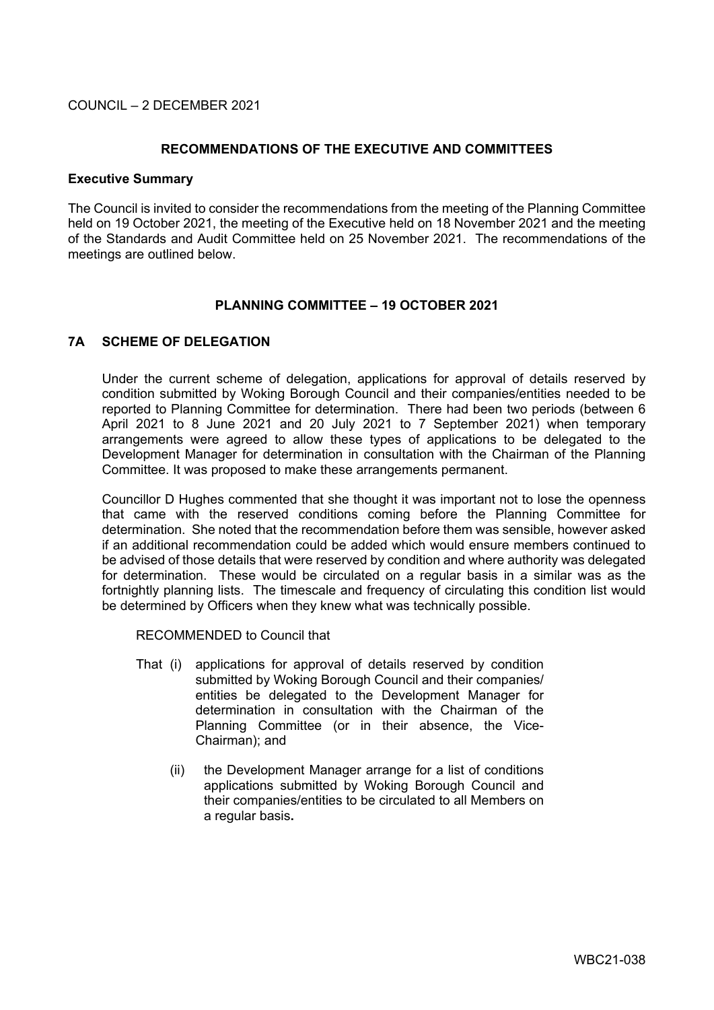COUNCIL – 2 DECEMBER 2021

### **RECOMMENDATIONS OF THE EXECUTIVE AND COMMITTEES**

#### **Executive Summary**

The Council is invited to consider the recommendations from the meeting of the Planning Committee held on 19 October 2021, the meeting of the Executive held on 18 November 2021 and the meeting of the Standards and Audit Committee held on 25 November 2021. The recommendations of the meetings are outlined below.

#### **PLANNING COMMITTEE – 19 OCTOBER 2021**

# **7A SCHEME OF DELEGATION**

Under the current scheme of delegation, applications for approval of details reserved by condition submitted by Woking Borough Council and their companies/entities needed to be reported to Planning Committee for determination. There had been two periods (between 6 April 2021 to 8 June 2021 and 20 July 2021 to 7 September 2021) when temporary arrangements were agreed to allow these types of applications to be delegated to the Development Manager for determination in consultation with the Chairman of the Planning Committee. It was proposed to make these arrangements permanent.

Councillor D Hughes commented that she thought it was important not to lose the openness that came with the reserved conditions coming before the Planning Committee for determination. She noted that the recommendation before them was sensible, however asked if an additional recommendation could be added which would ensure members continued to be advised of those details that were reserved by condition and where authority was delegated for determination. These would be circulated on a regular basis in a similar was as the fortnightly planning lists. The timescale and frequency of circulating this condition list would be determined by Officers when they knew what was technically possible.

RECOMMENDED to Council that

- That (i) applications for approval of details reserved by condition submitted by Woking Borough Council and their companies/ entities be delegated to the Development Manager for determination in consultation with the Chairman of the Planning Committee (or in their absence, the Vice-Chairman); and
	- (ii) the Development Manager arrange for a list of conditions applications submitted by Woking Borough Council and their companies/entities to be circulated to all Members on a regular basis**.**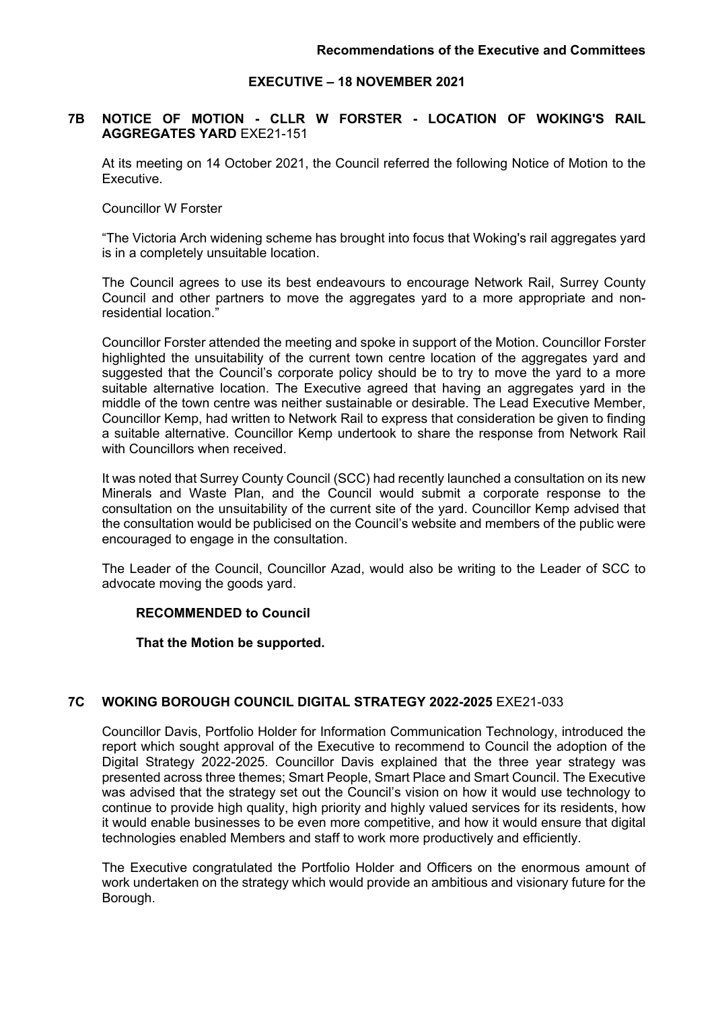### **EXECUTIVE – 18 NOVEMBER 2021**

### **7B NOTICE OF MOTION - CLLR W FORSTER - LOCATION OF WOKING'S RAIL AGGREGATES YARD** EXE21-151

At its meeting on 14 October 2021, the Council referred the following Notice of Motion to the Executive.

Councillor W Forster

"The Victoria Arch widening scheme has brought into focus that Woking's rail aggregates yard is in a completely unsuitable location.

The Council agrees to use its best endeavours to encourage Network Rail, Surrey County Council and other partners to move the aggregates yard to a more appropriate and nonresidential location."

Councillor Forster attended the meeting and spoke in support of the Motion. Councillor Forster highlighted the unsuitability of the current town centre location of the aggregates yard and suggested that the Council's corporate policy should be to try to move the yard to a more suitable alternative location. The Executive agreed that having an aggregates yard in the middle of the town centre was neither sustainable or desirable. The Lead Executive Member, Councillor Kemp, had written to Network Rail to express that consideration be given to finding a suitable alternative. Councillor Kemp undertook to share the response from Network Rail with Councillors when received.

It was noted that Surrey County Council (SCC) had recently launched a consultation on its new Minerals and Waste Plan, and the Council would submit a corporate response to the consultation on the unsuitability of the current site of the yard. Councillor Kemp advised that the consultation would be publicised on the Council's website and members of the public were encouraged to engage in the consultation.

The Leader of the Council, Councillor Azad, would also be writing to the Leader of SCC to advocate moving the goods yard.

#### **RECOMMENDED to Council**

**That the Motion be supported.**

# **7C WOKING BOROUGH COUNCIL DIGITAL STRATEGY 2022-2025** EXE21-033

Councillor Davis, Portfolio Holder for Information Communication Technology, introduced the report which sought approval of the Executive to recommend to Council the adoption of the Digital Strategy 2022-2025. Councillor Davis explained that the three year strategy was presented across three themes; Smart People, Smart Place and Smart Council. The Executive was advised that the strategy set out the Council's vision on how it would use technology to continue to provide high quality, high priority and highly valued services for its residents, how it would enable businesses to be even more competitive, and how it would ensure that digital technologies enabled Members and staff to work more productively and efficiently.

The Executive congratulated the Portfolio Holder and Officers on the enormous amount of work undertaken on the strategy which would provide an ambitious and visionary future for the Borough.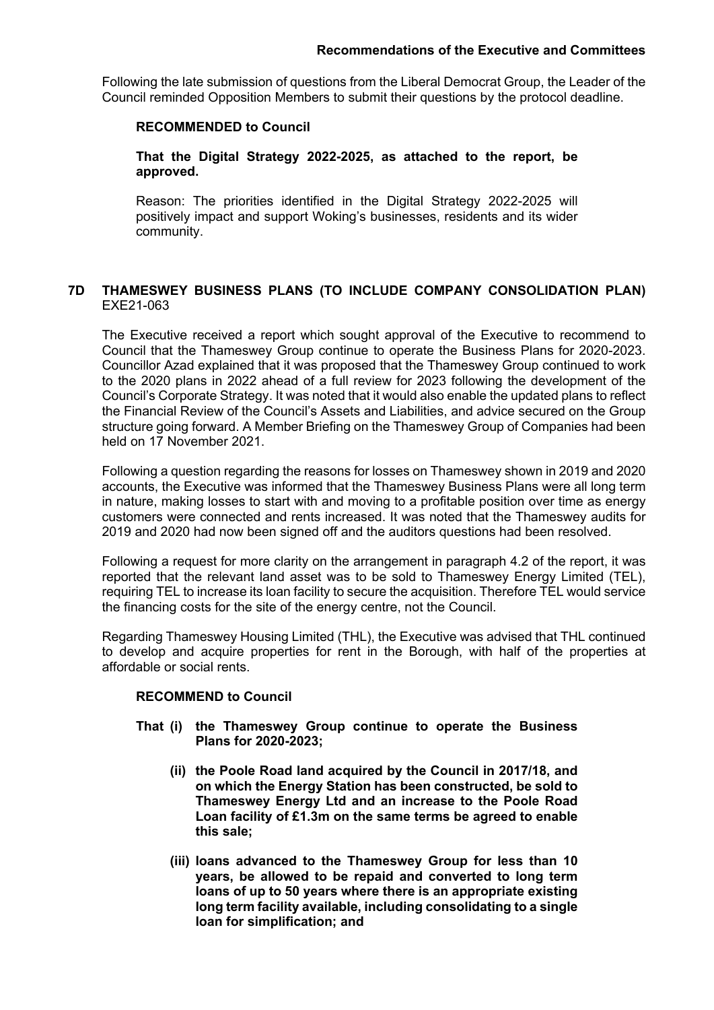Following the late submission of questions from the Liberal Democrat Group, the Leader of the Council reminded Opposition Members to submit their questions by the protocol deadline.

### **RECOMMENDED to Council**

**That the Digital Strategy 2022-2025, as attached to the report, be approved.**

Reason: The priorities identified in the Digital Strategy 2022-2025 will positively impact and support Woking's businesses, residents and its wider community.

# **7D THAMESWEY BUSINESS PLANS (TO INCLUDE COMPANY CONSOLIDATION PLAN)** EXE21-063

The Executive received a report which sought approval of the Executive to recommend to Council that the Thameswey Group continue to operate the Business Plans for 2020-2023. Councillor Azad explained that it was proposed that the Thameswey Group continued to work to the 2020 plans in 2022 ahead of a full review for 2023 following the development of the Council's Corporate Strategy. It was noted that it would also enable the updated plans to reflect the Financial Review of the Council's Assets and Liabilities, and advice secured on the Group structure going forward. A Member Briefing on the Thameswey Group of Companies had been held on 17 November 2021.

Following a question regarding the reasons for losses on Thameswey shown in 2019 and 2020 accounts, the Executive was informed that the Thameswey Business Plans were all long term in nature, making losses to start with and moving to a profitable position over time as energy customers were connected and rents increased. It was noted that the Thameswey audits for 2019 and 2020 had now been signed off and the auditors questions had been resolved.

Following a request for more clarity on the arrangement in paragraph 4.2 of the report, it was reported that the relevant land asset was to be sold to Thameswey Energy Limited (TEL), requiring TEL to increase its loan facility to secure the acquisition. Therefore TEL would service the financing costs for the site of the energy centre, not the Council.

Regarding Thameswey Housing Limited (THL), the Executive was advised that THL continued to develop and acquire properties for rent in the Borough, with half of the properties at affordable or social rents.

#### **RECOMMEND to Council**

- **That (i) the Thameswey Group continue to operate the Business Plans for 2020-2023;**
	- **(ii) the Poole Road land acquired by the Council in 2017/18, and on which the Energy Station has been constructed, be sold to Thameswey Energy Ltd and an increase to the Poole Road Loan facility of £1.3m on the same terms be agreed to enable this sale;**
	- **(iii) loans advanced to the Thameswey Group for less than 10 years, be allowed to be repaid and converted to long term loans of up to 50 years where there is an appropriate existing long term facility available, including consolidating to a single loan for simplification; and**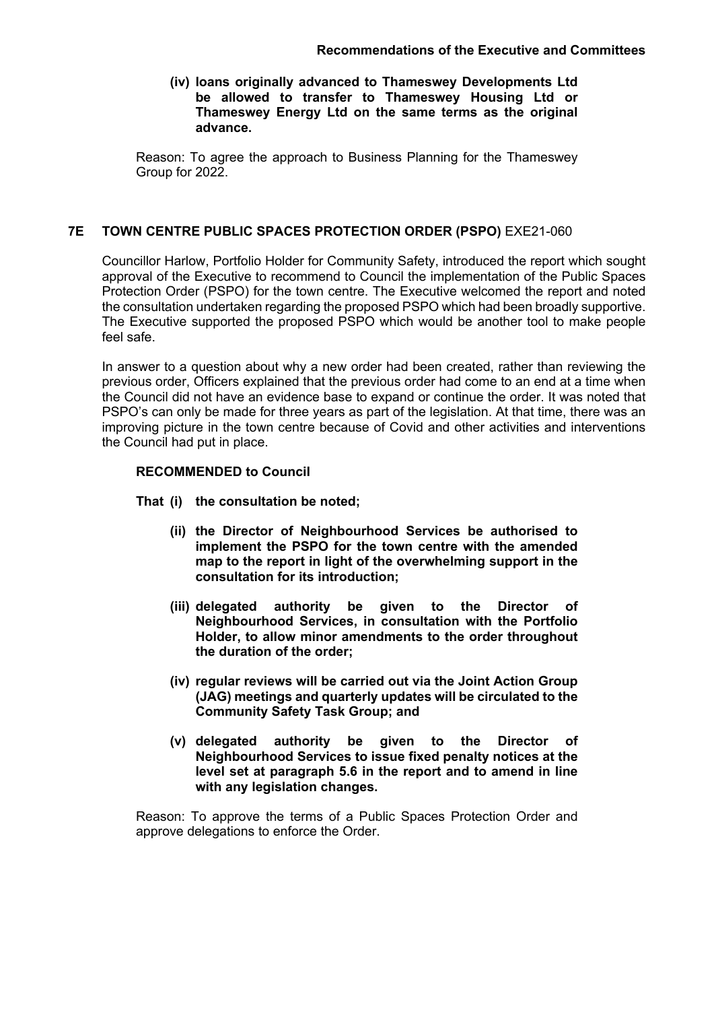**(iv) loans originally advanced to Thameswey Developments Ltd be allowed to transfer to Thameswey Housing Ltd or Thameswey Energy Ltd on the same terms as the original advance.**

Reason: To agree the approach to Business Planning for the Thameswey Group for 2022.

# **7E TOWN CENTRE PUBLIC SPACES PROTECTION ORDER (PSPO)** EXE21-060

Councillor Harlow, Portfolio Holder for Community Safety, introduced the report which sought approval of the Executive to recommend to Council the implementation of the Public Spaces Protection Order (PSPO) for the town centre. The Executive welcomed the report and noted the consultation undertaken regarding the proposed PSPO which had been broadly supportive. The Executive supported the proposed PSPO which would be another tool to make people feel safe.

In answer to a question about why a new order had been created, rather than reviewing the previous order, Officers explained that the previous order had come to an end at a time when the Council did not have an evidence base to expand or continue the order. It was noted that PSPO's can only be made for three years as part of the legislation. At that time, there was an improving picture in the town centre because of Covid and other activities and interventions the Council had put in place.

# **RECOMMENDED to Council**

- **That (i) the consultation be noted;**
	- **(ii) the Director of Neighbourhood Services be authorised to implement the PSPO for the town centre with the amended map to the report in light of the overwhelming support in the consultation for its introduction;**
	- **(iii) delegated authority be given to the Director of Neighbourhood Services, in consultation with the Portfolio Holder, to allow minor amendments to the order throughout the duration of the order;**
	- **(iv) regular reviews will be carried out via the Joint Action Group (JAG) meetings and quarterly updates will be circulated to the Community Safety Task Group; and**
	- **(v) delegated authority be given to the Director of Neighbourhood Services to issue fixed penalty notices at the level set at paragraph 5.6 in the report and to amend in line with any legislation changes.**

Reason: To approve the terms of a Public Spaces Protection Order and approve delegations to enforce the Order.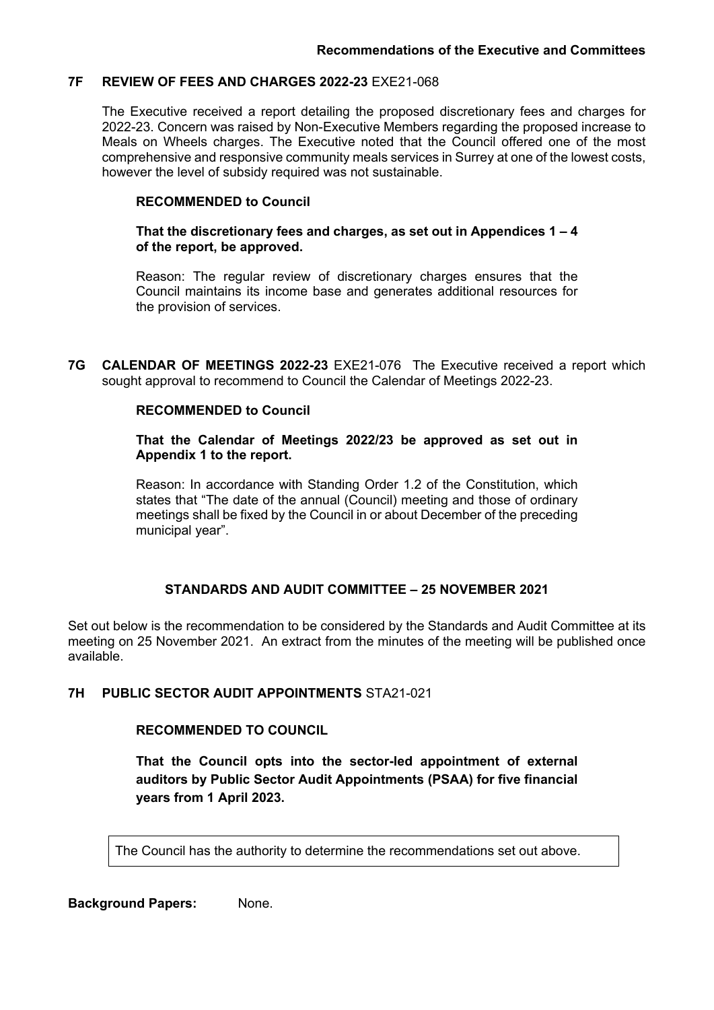#### **7F REVIEW OF FEES AND CHARGES 2022-23** EXE21-068

The Executive received a report detailing the proposed discretionary fees and charges for 2022-23. Concern was raised by Non-Executive Members regarding the proposed increase to Meals on Wheels charges. The Executive noted that the Council offered one of the most comprehensive and responsive community meals services in Surrey at one of the lowest costs, however the level of subsidy required was not sustainable.

#### **RECOMMENDED to Council**

#### **That the discretionary fees and charges, as set out in Appendices 1 – 4 of the report, be approved.**

Reason: The regular review of discretionary charges ensures that the Council maintains its income base and generates additional resources for the provision of services.

**7G CALENDAR OF MEETINGS 2022-23** EXE21-076The Executive received a report which sought approval to recommend to Council the Calendar of Meetings 2022-23.

#### **RECOMMENDED to Council**

#### **That the Calendar of Meetings 2022/23 be approved as set out in Appendix 1 to the report.**

Reason: In accordance with Standing Order 1.2 of the Constitution, which states that "The date of the annual (Council) meeting and those of ordinary meetings shall be fixed by the Council in or about December of the preceding municipal year".

# **STANDARDS AND AUDIT COMMITTEE – 25 NOVEMBER 2021**

Set out below is the recommendation to be considered by the Standards and Audit Committee at its meeting on 25 November 2021. An extract from the minutes of the meeting will be published once available.

# **7H PUBLIC SECTOR AUDIT APPOINTMENTS** STA21-021

# **RECOMMENDED TO COUNCIL**

**That the Council opts into the sector-led appointment of external auditors by Public Sector Audit Appointments (PSAA) for five financial years from 1 April 2023.**

The Council has the authority to determine the recommendations set out above.

**Background Papers:** None.